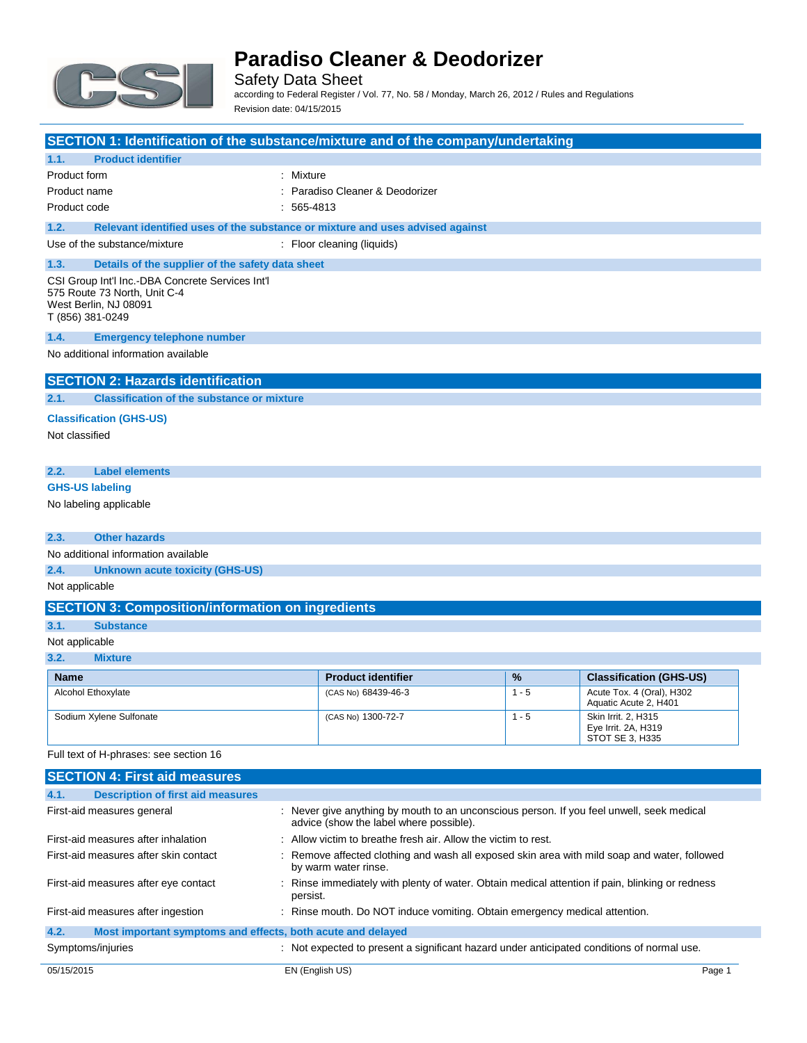

Safety Data Sheet according to Federal Register / Vol. 77, No. 58 / Monday, March 26, 2012 / Rules and Regulations Revision date: 04/15/2015

|                                                                                                                               | SECTION 1: Identification of the substance/mixture and of the company/undertaking |  |
|-------------------------------------------------------------------------------------------------------------------------------|-----------------------------------------------------------------------------------|--|
| 1.1.<br><b>Product identifier</b>                                                                                             |                                                                                   |  |
| Product form                                                                                                                  | : Mixture                                                                         |  |
| Product name                                                                                                                  | : Paradiso Cleaner & Deodorizer                                                   |  |
| Product code                                                                                                                  | $: 565 - 4813$                                                                    |  |
| 1.2.                                                                                                                          | Relevant identified uses of the substance or mixture and uses advised against     |  |
| Use of the substance/mixture                                                                                                  | : Floor cleaning (liquids)                                                        |  |
| 1.3.<br>Details of the supplier of the safety data sheet                                                                      |                                                                                   |  |
| CSI Group Int'l Inc.-DBA Concrete Services Int'l<br>575 Route 73 North, Unit C-4<br>West Berlin, NJ 08091<br>T (856) 381-0249 |                                                                                   |  |
| 1.4.<br><b>Emergency telephone number</b>                                                                                     |                                                                                   |  |
| No additional information available                                                                                           |                                                                                   |  |
| <b>SECTION 2: Hazards identification</b>                                                                                      |                                                                                   |  |
| 2.1.<br><b>Classification of the substance or mixture</b>                                                                     |                                                                                   |  |
| <b>Classification (GHS-US)</b>                                                                                                |                                                                                   |  |
| Not classified                                                                                                                |                                                                                   |  |
|                                                                                                                               |                                                                                   |  |
| <b>Label elements</b><br>2.2.                                                                                                 |                                                                                   |  |
| <b>GHS-US labeling</b>                                                                                                        |                                                                                   |  |
| No labeling applicable                                                                                                        |                                                                                   |  |
|                                                                                                                               |                                                                                   |  |
| <b>Other hazards</b><br>2.3.                                                                                                  |                                                                                   |  |
| No additional information available                                                                                           |                                                                                   |  |
| 2.4.<br><b>Unknown acute toxicity (GHS-US)</b>                                                                                |                                                                                   |  |
| Not applicable                                                                                                                |                                                                                   |  |
|                                                                                                                               |                                                                                   |  |

### **SECTION 3: Composition/information on ingredients**

#### **3.1. Substance**

#### Not applicable

**3.2. Mixture**

| <b>Name</b>               | <b>Product identifier</b> | $\frac{9}{6}$ | <b>Classification (GHS-US)</b>                                |
|---------------------------|---------------------------|---------------|---------------------------------------------------------------|
| <b>Alcohol Ethoxylate</b> | (CAS No) 68439-46-3       | $1 - 5$       | Acute Tox. 4 (Oral), H302<br>Aquatic Acute 2, H401            |
| Sodium Xylene Sulfonate   | (CAS No) 1300-72-7        | - 5           | Skin Irrit, 2, H315<br>Eye Irrit. 2A, H319<br>STOT SE 3. H335 |

Full text of H-phrases: see section 16

| <b>SECTION 4: First aid measures</b>                                |                                                                                                                                      |        |
|---------------------------------------------------------------------|--------------------------------------------------------------------------------------------------------------------------------------|--------|
| 4.1.<br><b>Description of first aid measures</b>                    |                                                                                                                                      |        |
| First-aid measures general                                          | : Never give anything by mouth to an unconscious person. If you feel unwell, seek medical<br>advice (show the label where possible). |        |
| First-aid measures after inhalation                                 | : Allow victim to breathe fresh air. Allow the victim to rest.                                                                       |        |
| First-aid measures after skin contact                               | : Remove affected clothing and wash all exposed skin area with mild soap and water, followed<br>by warm water rinse.                 |        |
| First-aid measures after eye contact                                | : Rinse immediately with plenty of water. Obtain medical attention if pain, blinking or redness<br>persist.                          |        |
| First-aid measures after ingestion                                  | : Rinse mouth. Do NOT induce vomiting. Obtain emergency medical attention.                                                           |        |
| 4.2.<br>Most important symptoms and effects, both acute and delayed |                                                                                                                                      |        |
| Symptoms/injuries                                                   | : Not expected to present a significant hazard under anticipated conditions of normal use.                                           |        |
| 05/15/2015                                                          | EN (English US)                                                                                                                      | Page 1 |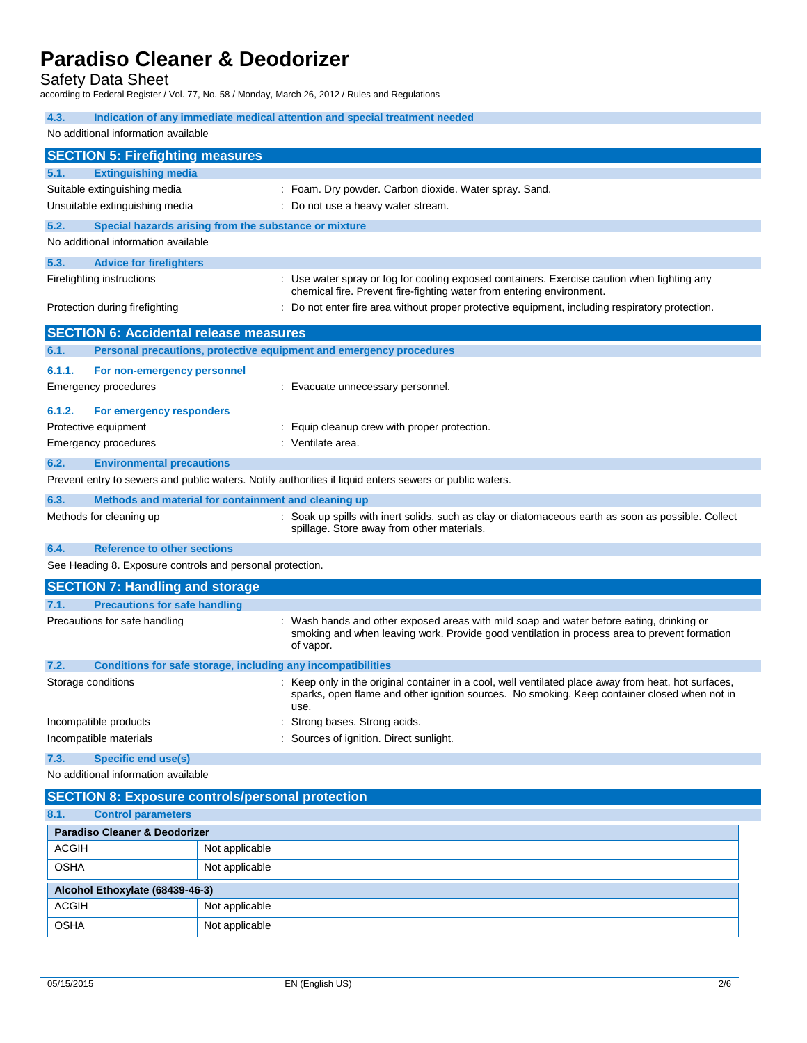Safety Data Sheet

according to Federal Register / Vol. 77, No. 58 / Monday, March 26, 2012 / Rules and Regulations

| 4.3.<br>Indication of any immediate medical attention and special treatment needed<br>No additional information available |                                                                                                                                                                              |                |                                                                                                                                                                                                              |
|---------------------------------------------------------------------------------------------------------------------------|------------------------------------------------------------------------------------------------------------------------------------------------------------------------------|----------------|--------------------------------------------------------------------------------------------------------------------------------------------------------------------------------------------------------------|
| <b>SECTION 5: Firefighting measures</b>                                                                                   |                                                                                                                                                                              |                |                                                                                                                                                                                                              |
| 5.1.                                                                                                                      | <b>Extinguishing media</b>                                                                                                                                                   |                |                                                                                                                                                                                                              |
|                                                                                                                           | Suitable extinguishing media                                                                                                                                                 |                | : Foam. Dry powder. Carbon dioxide. Water spray. Sand.                                                                                                                                                       |
|                                                                                                                           | Unsuitable extinguishing media                                                                                                                                               |                | : Do not use a heavy water stream.                                                                                                                                                                           |
| 5.2.                                                                                                                      | Special hazards arising from the substance or mixture                                                                                                                        |                |                                                                                                                                                                                                              |
|                                                                                                                           | No additional information available                                                                                                                                          |                |                                                                                                                                                                                                              |
| 5.3.                                                                                                                      | <b>Advice for firefighters</b>                                                                                                                                               |                |                                                                                                                                                                                                              |
|                                                                                                                           | Firefighting instructions                                                                                                                                                    |                | : Use water spray or fog for cooling exposed containers. Exercise caution when fighting any<br>chemical fire. Prevent fire-fighting water from entering environment.                                         |
|                                                                                                                           | Protection during firefighting                                                                                                                                               |                | : Do not enter fire area without proper protective equipment, including respiratory protection.                                                                                                              |
|                                                                                                                           | <b>SECTION 6: Accidental release measures</b>                                                                                                                                |                |                                                                                                                                                                                                              |
| 6.1.                                                                                                                      |                                                                                                                                                                              |                | Personal precautions, protective equipment and emergency procedures                                                                                                                                          |
| 6.1.1.                                                                                                                    | For non-emergency personnel                                                                                                                                                  |                |                                                                                                                                                                                                              |
|                                                                                                                           | Emergency procedures                                                                                                                                                         |                | : Evacuate unnecessary personnel.                                                                                                                                                                            |
| 6.1.2.                                                                                                                    | For emergency responders                                                                                                                                                     |                |                                                                                                                                                                                                              |
|                                                                                                                           | Protective equipment                                                                                                                                                         |                | : Equip cleanup crew with proper protection.                                                                                                                                                                 |
|                                                                                                                           | <b>Emergency procedures</b>                                                                                                                                                  |                | : Ventilate area.                                                                                                                                                                                            |
| 6.2.                                                                                                                      | <b>Environmental precautions</b>                                                                                                                                             |                |                                                                                                                                                                                                              |
|                                                                                                                           |                                                                                                                                                                              |                | Prevent entry to sewers and public waters. Notify authorities if liquid enters sewers or public waters.                                                                                                      |
| 6.3.                                                                                                                      | Methods and material for containment and cleaning up                                                                                                                         |                |                                                                                                                                                                                                              |
|                                                                                                                           | Methods for cleaning up<br>: Soak up spills with inert solids, such as clay or diatomaceous earth as soon as possible. Collect<br>spillage. Store away from other materials. |                |                                                                                                                                                                                                              |
| 6.4.                                                                                                                      | <b>Reference to other sections</b>                                                                                                                                           |                |                                                                                                                                                                                                              |
|                                                                                                                           | See Heading 8. Exposure controls and personal protection.                                                                                                                    |                |                                                                                                                                                                                                              |
|                                                                                                                           | <b>SECTION 7: Handling and storage</b>                                                                                                                                       |                |                                                                                                                                                                                                              |
| 7.1.                                                                                                                      | <b>Precautions for safe handling</b>                                                                                                                                         |                |                                                                                                                                                                                                              |
|                                                                                                                           | Precautions for safe handling                                                                                                                                                |                | Wash hands and other exposed areas with mild soap and water before eating, drinking or<br>smoking and when leaving work. Provide good ventilation in process area to prevent formation<br>of vapor.          |
| 7.2.                                                                                                                      |                                                                                                                                                                              |                | Conditions for safe storage, including any incompatibilities                                                                                                                                                 |
|                                                                                                                           | Storage conditions                                                                                                                                                           |                | : Keep only in the original container in a cool, well ventilated place away from heat, hot surfaces,<br>sparks, open flame and other ignition sources. No smoking. Keep container closed when not in<br>use. |
|                                                                                                                           | Incompatible products                                                                                                                                                        |                | Strong bases. Strong acids.                                                                                                                                                                                  |
|                                                                                                                           | Incompatible materials                                                                                                                                                       |                | Sources of ignition. Direct sunlight.                                                                                                                                                                        |
| 7.3.                                                                                                                      | <b>Specific end use(s)</b>                                                                                                                                                   |                |                                                                                                                                                                                                              |
|                                                                                                                           | No additional information available                                                                                                                                          |                |                                                                                                                                                                                                              |
| <b>SECTION 8: Exposure controls/personal protection</b>                                                                   |                                                                                                                                                                              |                |                                                                                                                                                                                                              |
| <b>Control parameters</b><br>8.1.                                                                                         |                                                                                                                                                                              |                |                                                                                                                                                                                                              |
|                                                                                                                           | <b>Paradiso Cleaner &amp; Deodorizer</b>                                                                                                                                     |                |                                                                                                                                                                                                              |
| ACGIH                                                                                                                     |                                                                                                                                                                              | Not applicable |                                                                                                                                                                                                              |
| <b>OSHA</b>                                                                                                               |                                                                                                                                                                              | Not applicable |                                                                                                                                                                                                              |
|                                                                                                                           | Alcohol Ethoxylate (68439-46-3)                                                                                                                                              |                |                                                                                                                                                                                                              |
| <b>ACGIH</b>                                                                                                              |                                                                                                                                                                              | Not applicable |                                                                                                                                                                                                              |

OSHA Not applicable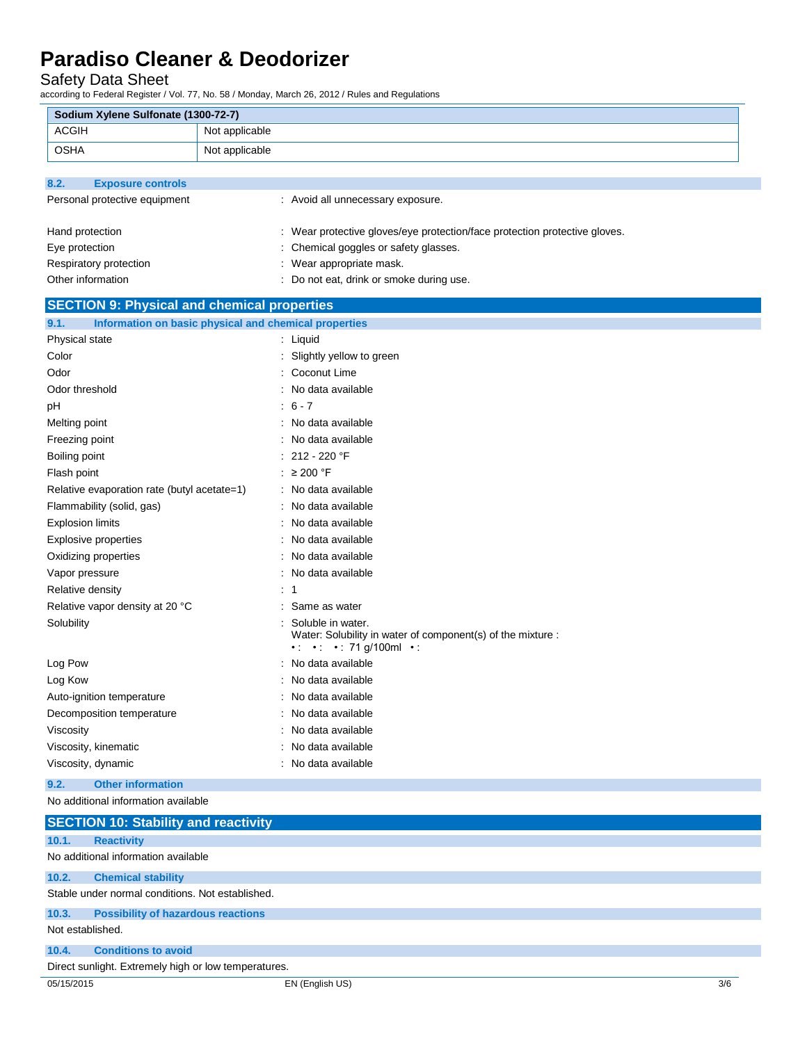### Safety Data Sheet

according to Federal Register / Vol. 77, No. 58 / Monday, March 26, 2012 / Rules and Regulations

| Sodium Xylene Sulfonate (1300-72-7)                                    |                |                                                                                                                                        |     |
|------------------------------------------------------------------------|----------------|----------------------------------------------------------------------------------------------------------------------------------------|-----|
| <b>ACGIH</b>                                                           | Not applicable |                                                                                                                                        |     |
| <b>OSHA</b>                                                            | Not applicable |                                                                                                                                        |     |
|                                                                        |                |                                                                                                                                        |     |
| 8.2.<br><b>Exposure controls</b>                                       |                |                                                                                                                                        |     |
| Personal protective equipment                                          |                | : Avoid all unnecessary exposure.                                                                                                      |     |
|                                                                        |                |                                                                                                                                        |     |
| Hand protection                                                        |                | : Wear protective gloves/eye protection/face protection protective gloves.                                                             |     |
| Eye protection                                                         |                | : Chemical goggles or safety glasses.                                                                                                  |     |
| Respiratory protection                                                 |                | : Wear appropriate mask.                                                                                                               |     |
| Other information                                                      |                | : Do not eat, drink or smoke during use.                                                                                               |     |
| <b>SECTION 9: Physical and chemical properties</b>                     |                |                                                                                                                                        |     |
| 9.1.<br>Information on basic physical and chemical properties          |                |                                                                                                                                        |     |
| Physical state                                                         |                | : Liquid                                                                                                                               |     |
| Color                                                                  |                | : Slightly yellow to green                                                                                                             |     |
| Odor                                                                   |                | : Coconut Lime                                                                                                                         |     |
| Odor threshold                                                         |                | : No data available                                                                                                                    |     |
| pH                                                                     |                | $6 - 7$                                                                                                                                |     |
| Melting point                                                          |                | : No data available                                                                                                                    |     |
| Freezing point                                                         |                | : No data available                                                                                                                    |     |
| Boiling point                                                          |                | : 212 - 220 $\degree$ F                                                                                                                |     |
| Flash point                                                            |                | : $\geq 200$ °F                                                                                                                        |     |
| Relative evaporation rate (butyl acetate=1)                            |                | : No data available                                                                                                                    |     |
| Flammability (solid, gas)                                              |                | : No data available                                                                                                                    |     |
| <b>Explosion limits</b>                                                |                | : No data available                                                                                                                    |     |
| <b>Explosive properties</b>                                            |                | No data available                                                                                                                      |     |
| Oxidizing properties                                                   |                | : No data available                                                                                                                    |     |
| Vapor pressure                                                         |                | : No data available                                                                                                                    |     |
| Relative density                                                       |                | : 1                                                                                                                                    |     |
| Relative vapor density at 20 °C                                        |                | : Same as water                                                                                                                        |     |
| Solubility                                                             |                | Soluble in water.<br>Water: Solubility in water of component(s) of the mixture :<br>$\cdot$ : $\cdot$ : $\cdot$ : 71 g/100ml $\cdot$ : |     |
| Log Pow                                                                |                | : No data available                                                                                                                    |     |
| Log Kow                                                                |                | : No data available                                                                                                                    |     |
| Auto-ignition temperature                                              |                | : No data available                                                                                                                    |     |
| Decomposition temperature                                              |                | : No data available                                                                                                                    |     |
| Viscosity                                                              |                | : No data available                                                                                                                    |     |
| Viscosity, kinematic                                                   |                | : No data available                                                                                                                    |     |
| Viscosity, dynamic                                                     |                | : No data available                                                                                                                    |     |
| 9.2.<br><b>Other information</b>                                       |                |                                                                                                                                        |     |
| No additional information available                                    |                |                                                                                                                                        |     |
| <b>SECTION 10: Stability and reactivity</b>                            |                |                                                                                                                                        |     |
| 10.1.<br><b>Reactivity</b>                                             |                |                                                                                                                                        |     |
| No additional information available                                    |                |                                                                                                                                        |     |
| 10.2.<br><b>Chemical stability</b>                                     |                |                                                                                                                                        |     |
| Stable under normal conditions. Not established.                       |                |                                                                                                                                        |     |
|                                                                        |                |                                                                                                                                        |     |
| 10.3.<br><b>Possibility of hazardous reactions</b><br>Not established. |                |                                                                                                                                        |     |
|                                                                        |                |                                                                                                                                        |     |
| <b>Conditions to avoid</b><br>10.4.                                    |                |                                                                                                                                        |     |
| Direct sunlight. Extremely high or low temperatures.                   |                |                                                                                                                                        |     |
| 05/15/2015                                                             |                | EN (English US)                                                                                                                        | 3/6 |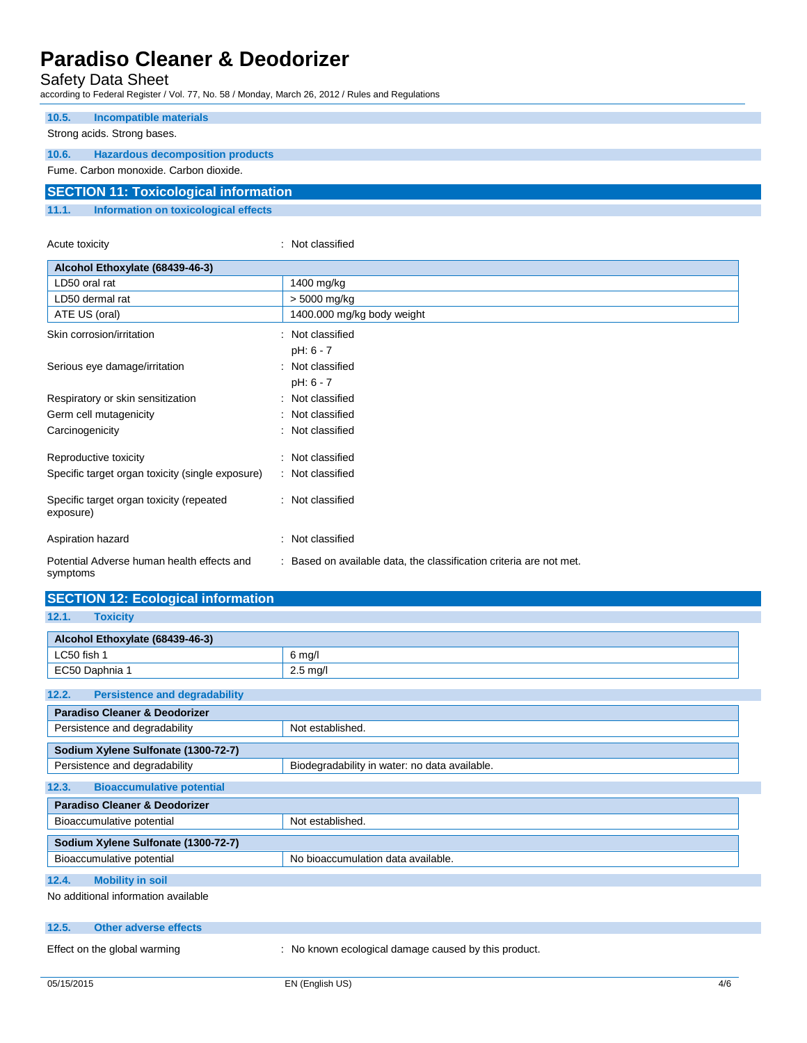Safety Data Sheet

according to Federal Register / Vol. 77, No. 58 / Monday, March 26, 2012 / Rules and Regulations

| 10.5. | Incompatible materials                       |
|-------|----------------------------------------------|
|       | Strong acids. Strong bases.                  |
| 10.6. | <b>Hazardous decomposition products</b>      |
|       | Fume, Carbon monoxide, Carbon dioxide,       |
|       | <b>SECTION 11: Toxicological information</b> |
| 11.1. | Information on toxicological effects         |

| Acute toxicity                                         | Not classified                                                    |
|--------------------------------------------------------|-------------------------------------------------------------------|
| Alcohol Ethoxylate (68439-46-3)                        |                                                                   |
| LD50 oral rat                                          | 1400 mg/kg                                                        |
| LD50 dermal rat                                        | > 5000 mg/kg                                                      |
| ATE US (oral)                                          | 1400.000 mg/kg body weight                                        |
| Skin corrosion/irritation                              | Not classified                                                    |
|                                                        | pH: 6 - 7                                                         |
| Serious eye damage/irritation                          | Not classified                                                    |
|                                                        | pH: 6 - 7                                                         |
| Respiratory or skin sensitization                      | Not classified                                                    |
| Germ cell mutagenicity                                 | Not classified                                                    |
| Carcinogenicity                                        | Not classified                                                    |
| Reproductive toxicity                                  | : Not classified                                                  |
| Specific target organ toxicity (single exposure)       | : Not classified                                                  |
| Specific target organ toxicity (repeated<br>exposure)  | : Not classified                                                  |
| Aspiration hazard                                      | Not classified                                                    |
| Potential Adverse human health effects and<br>symptoms | Based on available data, the classification criteria are not met. |

| <b>SECTION 12: Ecological information</b>     |                                               |
|-----------------------------------------------|-----------------------------------------------|
| 12.1.<br><b>Toxicity</b>                      |                                               |
|                                               |                                               |
| Alcohol Ethoxylate (68439-46-3)               |                                               |
| LC50 fish 1                                   | $6$ mg/l                                      |
| EC50 Daphnia 1                                | $2.5$ mg/l                                    |
| <b>Persistence and degradability</b><br>12.2. |                                               |
| <b>Paradiso Cleaner &amp; Deodorizer</b>      |                                               |
| Persistence and degradability                 | Not established.                              |
| Sodium Xylene Sulfonate (1300-72-7)           |                                               |
| Persistence and degradability                 | Biodegradability in water: no data available. |
| 12.3.<br><b>Bioaccumulative potential</b>     |                                               |
| <b>Paradiso Cleaner &amp; Deodorizer</b>      |                                               |
| Not established.<br>Bioaccumulative potential |                                               |
| Sodium Xylene Sulfonate (1300-72-7)           |                                               |
| Bioaccumulative potential                     | No bioaccumulation data available.            |
| <b>Mobility in soil</b><br>12.4.              |                                               |
| No additional information available           |                                               |

#### **12.5. Other adverse effects**

Effect on the global warming : No known ecological damage caused by this product.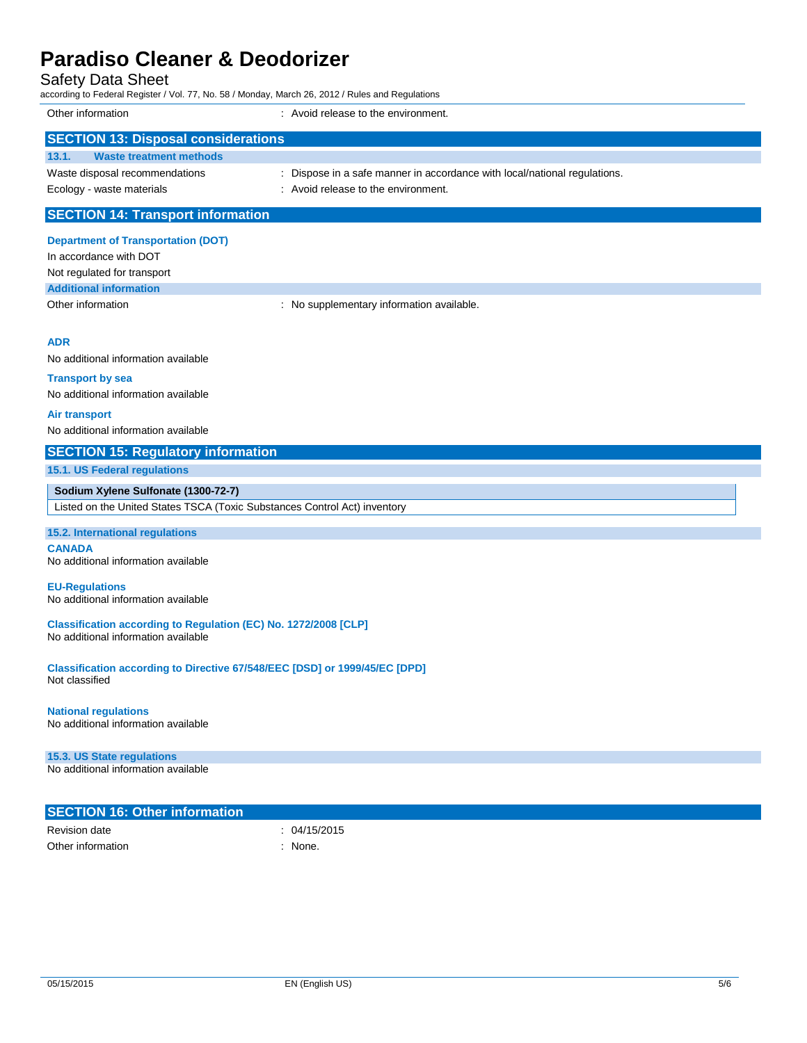|                                                                                                        | according to Federal Register / Vol. 77, No. 58 / Monday, March 26, 2012 / Rules and Regulations                 |
|--------------------------------------------------------------------------------------------------------|------------------------------------------------------------------------------------------------------------------|
| Other information                                                                                      | : Avoid release to the environment.                                                                              |
| <b>SECTION 13: Disposal considerations</b>                                                             |                                                                                                                  |
| 13.1.<br><b>Waste treatment methods</b>                                                                |                                                                                                                  |
| Waste disposal recommendations<br>Ecology - waste materials                                            | : Dispose in a safe manner in accordance with local/national regulations.<br>: Avoid release to the environment. |
| <b>SECTION 14: Transport information</b>                                                               |                                                                                                                  |
| <b>Department of Transportation (DOT)</b>                                                              |                                                                                                                  |
| In accordance with DOT                                                                                 |                                                                                                                  |
| Not regulated for transport                                                                            |                                                                                                                  |
| <b>Additional information</b><br>Other information                                                     | : No supplementary information available.                                                                        |
|                                                                                                        |                                                                                                                  |
| <b>ADR</b>                                                                                             |                                                                                                                  |
| No additional information available                                                                    |                                                                                                                  |
| <b>Transport by sea</b>                                                                                |                                                                                                                  |
| No additional information available                                                                    |                                                                                                                  |
| <b>Air transport</b>                                                                                   |                                                                                                                  |
| No additional information available                                                                    |                                                                                                                  |
| <b>SECTION 15: Regulatory information</b>                                                              |                                                                                                                  |
| 15.1. US Federal regulations                                                                           |                                                                                                                  |
| Sodium Xylene Sulfonate (1300-72-7)                                                                    |                                                                                                                  |
| Listed on the United States TSCA (Toxic Substances Control Act) inventory                              |                                                                                                                  |
| 15.2. International regulations                                                                        |                                                                                                                  |
| <b>CANADA</b><br>No additional information available                                                   |                                                                                                                  |
| <b>EU-Regulations</b><br>No additional information available                                           |                                                                                                                  |
| Classification according to Regulation (EC) No. 1272/2008 [CLP]<br>No additional information available |                                                                                                                  |
| Classification according to Directive 67/548/EEC [DSD] or 1999/45/EC [DPD]<br>Not classified           |                                                                                                                  |
| <b>National regulations</b><br>No additional information available                                     |                                                                                                                  |
|                                                                                                        |                                                                                                                  |

| <b>SECTION 16: Other information</b> |            |  |
|--------------------------------------|------------|--|
| Revision date                        | 04/15/2015 |  |
| Other information                    | None.      |  |